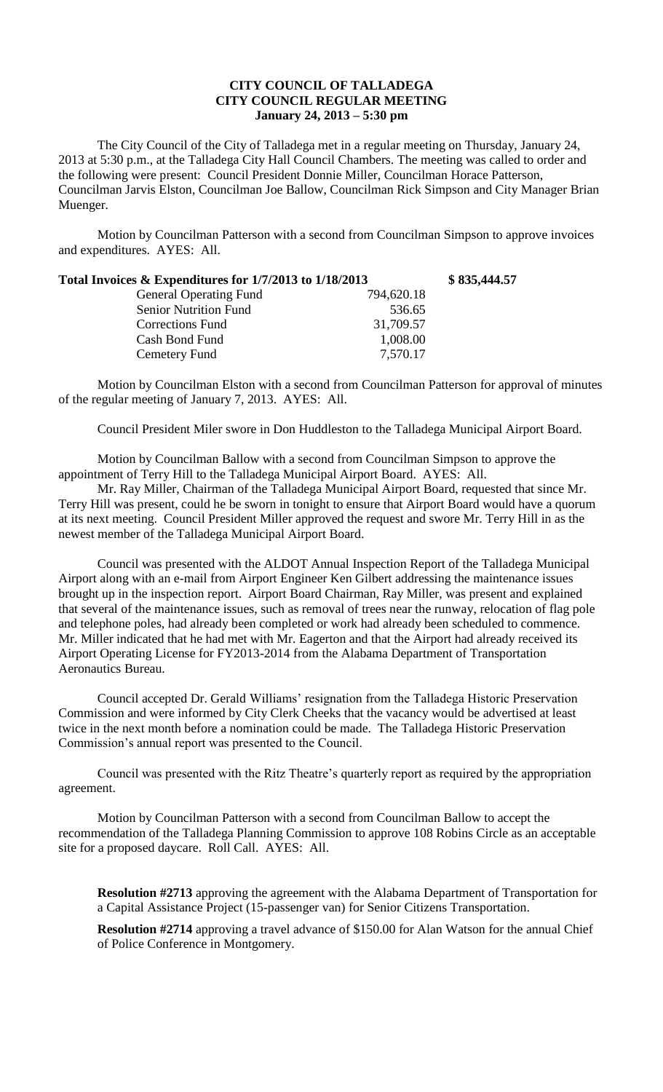## **CITY COUNCIL OF TALLADEGA CITY COUNCIL REGULAR MEETING January 24, 2013 – 5:30 pm**

The City Council of the City of Talladega met in a regular meeting on Thursday, January 24, 2013 at 5:30 p.m., at the Talladega City Hall Council Chambers. The meeting was called to order and the following were present: Council President Donnie Miller, Councilman Horace Patterson, Councilman Jarvis Elston, Councilman Joe Ballow, Councilman Rick Simpson and City Manager Brian Muenger.

Motion by Councilman Patterson with a second from Councilman Simpson to approve invoices and expenditures. AYES: All.

| Total Invoices & Expenditures for 1/7/2013 to 1/18/2013 |            | \$835,444.57 |
|---------------------------------------------------------|------------|--------------|
| <b>General Operating Fund</b>                           | 794,620.18 |              |
| <b>Senior Nutrition Fund</b>                            | 536.65     |              |
| <b>Corrections Fund</b>                                 | 31,709.57  |              |
| Cash Bond Fund                                          | 1,008.00   |              |
| Cemetery Fund                                           | 7,570.17   |              |

Motion by Councilman Elston with a second from Councilman Patterson for approval of minutes of the regular meeting of January 7, 2013. AYES: All.

Council President Miler swore in Don Huddleston to the Talladega Municipal Airport Board.

Motion by Councilman Ballow with a second from Councilman Simpson to approve the appointment of Terry Hill to the Talladega Municipal Airport Board. AYES: All.

Mr. Ray Miller, Chairman of the Talladega Municipal Airport Board, requested that since Mr. Terry Hill was present, could he be sworn in tonight to ensure that Airport Board would have a quorum at its next meeting. Council President Miller approved the request and swore Mr. Terry Hill in as the newest member of the Talladega Municipal Airport Board.

Council was presented with the ALDOT Annual Inspection Report of the Talladega Municipal Airport along with an e-mail from Airport Engineer Ken Gilbert addressing the maintenance issues brought up in the inspection report. Airport Board Chairman, Ray Miller, was present and explained that several of the maintenance issues, such as removal of trees near the runway, relocation of flag pole and telephone poles, had already been completed or work had already been scheduled to commence. Mr. Miller indicated that he had met with Mr. Eagerton and that the Airport had already received its Airport Operating License for FY2013-2014 from the Alabama Department of Transportation Aeronautics Bureau.

Council accepted Dr. Gerald Williams' resignation from the Talladega Historic Preservation Commission and were informed by City Clerk Cheeks that the vacancy would be advertised at least twice in the next month before a nomination could be made. The Talladega Historic Preservation Commission's annual report was presented to the Council.

Council was presented with the Ritz Theatre's quarterly report as required by the appropriation agreement.

Motion by Councilman Patterson with a second from Councilman Ballow to accept the recommendation of the Talladega Planning Commission to approve 108 Robins Circle as an acceptable site for a proposed daycare. Roll Call. AYES: All.

**Resolution #2713** approving the agreement with the Alabama Department of Transportation for a Capital Assistance Project (15-passenger van) for Senior Citizens Transportation.

**Resolution #2714** approving a travel advance of \$150.00 for Alan Watson for the annual Chief of Police Conference in Montgomery.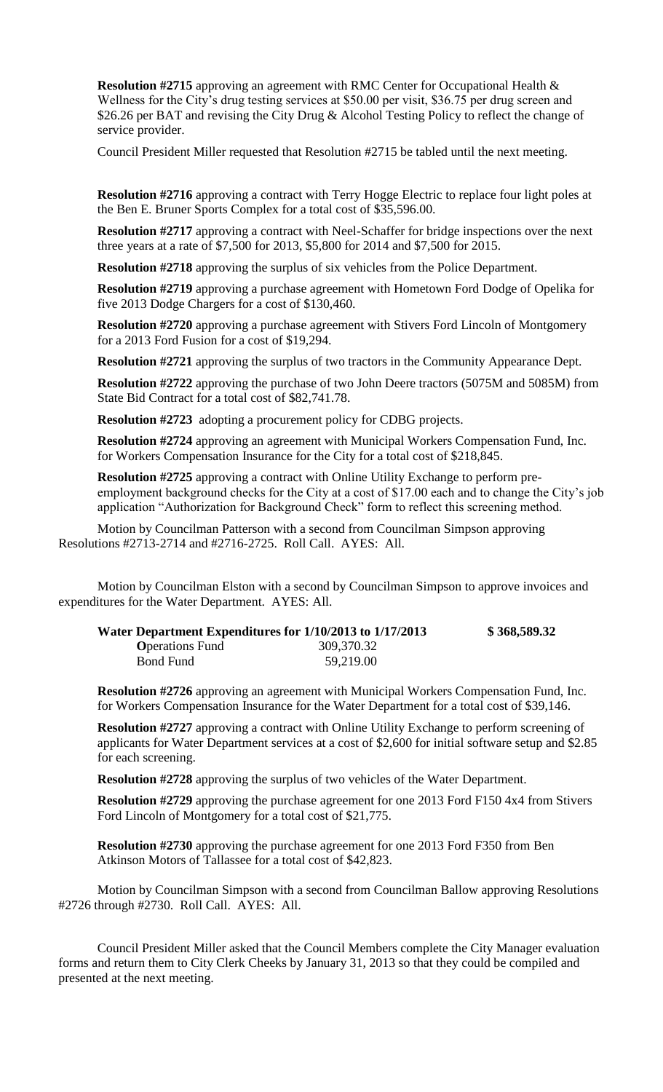**Resolution #2715** approving an agreement with RMC Center for Occupational Health & Wellness for the City's drug testing services at \$50.00 per visit, \$36.75 per drug screen and \$26.26 per BAT and revising the City Drug & Alcohol Testing Policy to reflect the change of service provider.

Council President Miller requested that Resolution #2715 be tabled until the next meeting.

**Resolution #2716** approving a contract with Terry Hogge Electric to replace four light poles at the Ben E. Bruner Sports Complex for a total cost of \$35,596.00.

**Resolution #2717** approving a contract with Neel-Schaffer for bridge inspections over the next three years at a rate of \$7,500 for 2013, \$5,800 for 2014 and \$7,500 for 2015.

**Resolution #2718** approving the surplus of six vehicles from the Police Department.

**Resolution #2719** approving a purchase agreement with Hometown Ford Dodge of Opelika for five 2013 Dodge Chargers for a cost of \$130,460.

**Resolution #2720** approving a purchase agreement with Stivers Ford Lincoln of Montgomery for a 2013 Ford Fusion for a cost of \$19,294.

**Resolution #2721** approving the surplus of two tractors in the Community Appearance Dept.

**Resolution #2722** approving the purchase of two John Deere tractors (5075M and 5085M) from State Bid Contract for a total cost of \$82,741.78.

**Resolution #2723** adopting a procurement policy for CDBG projects.

**Resolution #2724** approving an agreement with Municipal Workers Compensation Fund, Inc. for Workers Compensation Insurance for the City for a total cost of \$218,845.

**Resolution #2725** approving a contract with Online Utility Exchange to perform preemployment background checks for the City at a cost of \$17.00 each and to change the City's job application "Authorization for Background Check" form to reflect this screening method.

Motion by Councilman Patterson with a second from Councilman Simpson approving Resolutions #2713-2714 and #2716-2725. Roll Call. AYES: All.

Motion by Councilman Elston with a second by Councilman Simpson to approve invoices and expenditures for the Water Department. AYES: All.

| Water Department Expenditures for 1/10/2013 to 1/17/2013 |            | \$368,589.32 |
|----------------------------------------------------------|------------|--------------|
| <b>O</b> perations Fund                                  | 309,370.32 |              |
| <b>Bond Fund</b>                                         | 59,219.00  |              |

**Resolution #2726** approving an agreement with Municipal Workers Compensation Fund, Inc. for Workers Compensation Insurance for the Water Department for a total cost of \$39,146.

**Resolution #2727** approving a contract with Online Utility Exchange to perform screening of applicants for Water Department services at a cost of \$2,600 for initial software setup and \$2.85 for each screening.

**Resolution #2728** approving the surplus of two vehicles of the Water Department.

**Resolution #2729** approving the purchase agreement for one 2013 Ford F150 4x4 from Stivers Ford Lincoln of Montgomery for a total cost of \$21,775.

**Resolution #2730** approving the purchase agreement for one 2013 Ford F350 from Ben Atkinson Motors of Tallassee for a total cost of \$42,823.

Motion by Councilman Simpson with a second from Councilman Ballow approving Resolutions #2726 through #2730. Roll Call. AYES: All.

Council President Miller asked that the Council Members complete the City Manager evaluation forms and return them to City Clerk Cheeks by January 31, 2013 so that they could be compiled and presented at the next meeting.